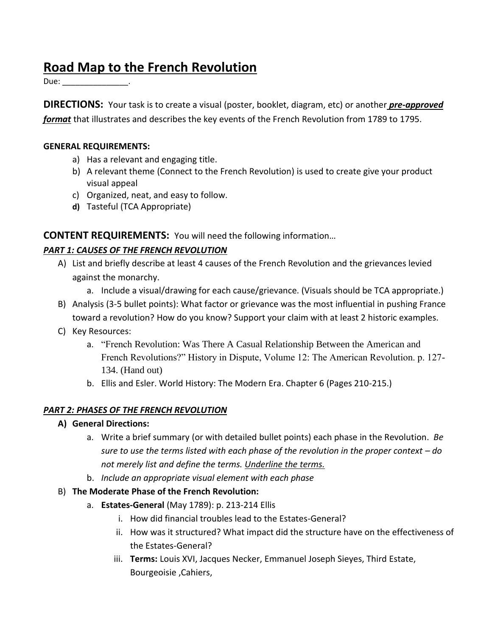# **Road Map to the French Revolution**

Due: the contract of the contract of the contract of the contract of the contract of the contract of the contract of the contract of the contract of the contract of the contract of the contract of the contract of the contr

**DIRECTIONS:** Your task is to create a visual (poster, booklet, diagram, etc) or another *pre-approved format* that illustrates and describes the key events of the French Revolution from 1789 to 1795.

#### **GENERAL REQUIREMENTS:**

- a) Has a relevant and engaging title.
- b) A relevant theme (Connect to the French Revolution) is used to create give your product visual appeal
- c) Organized, neat, and easy to follow.
- **d)** Tasteful (TCA Appropriate)

## **CONTENT REQUIREMENTS:** You will need the following information…

#### *PART 1: CAUSES OF THE FRENCH REVOLUTION*

- A) List and briefly describe at least 4 causes of the French Revolution and the grievances levied against the monarchy.
	- a. Include a visual/drawing for each cause/grievance. (Visuals should be TCA appropriate.)
- B) Analysis (3-5 bullet points): What factor or grievance was the most influential in pushing France toward a revolution? How do you know? Support your claim with at least 2 historic examples.
- C) Key Resources:
	- a. "French Revolution: Was There A Casual Relationship Between the American and French Revolutions?" History in Dispute, Volume 12: The American Revolution. p. 127- 134. (Hand out)
	- b. Ellis and Esler. World History: The Modern Era. Chapter 6 (Pages 210-215.)

#### *PART 2: PHASES OF THE FRENCH REVOLUTION*

- **A) General Directions:** 
	- a. Write a brief summary (or with detailed bullet points) each phase in the Revolution. *Be sure to use the terms listed with each phase of the revolution in the proper context – do not merely list and define the terms. Underline the terms.*
	- b. *Include an appropriate visual element with each phase*
- B) **The Moderate Phase of the French Revolution:** 
	- a. **Estates-General** (May 1789): p. 213-214 Ellis
		- i. How did financial troubles lead to the Estates-General?
		- ii. How was it structured? What impact did the structure have on the effectiveness of the Estates-General?
		- iii. **Terms:** Louis XVI, Jacques Necker, Emmanuel Joseph Sieyes, Third Estate, Bourgeoisie ,Cahiers,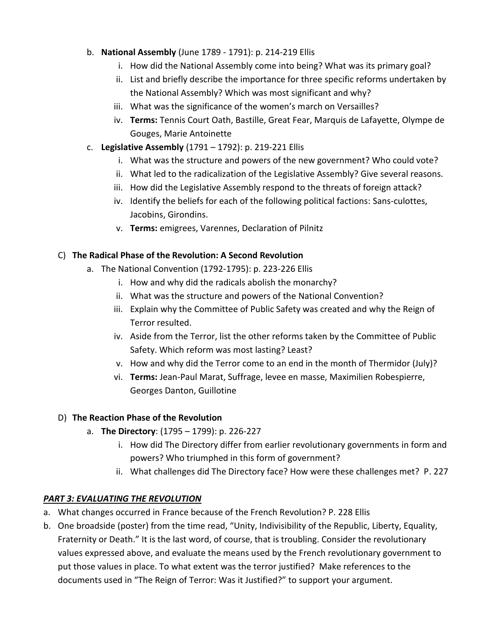- b. **National Assembly** (June 1789 1791): p. 214-219 Ellis
	- i. How did the National Assembly come into being? What was its primary goal?
	- ii. List and briefly describe the importance for three specific reforms undertaken by the National Assembly? Which was most significant and why?
	- iii. What was the significance of the women's march on Versailles?
	- iv. **Terms:** Tennis Court Oath, Bastille, Great Fear, Marquis de Lafayette, Olympe de Gouges, Marie Antoinette
- c. **Legislative Assembly** (1791 1792): p. 219-221 Ellis
	- i. What was the structure and powers of the new government? Who could vote?
	- ii. What led to the radicalization of the Legislative Assembly? Give several reasons.
	- iii. How did the Legislative Assembly respond to the threats of foreign attack?
	- iv. Identify the beliefs for each of the following political factions: Sans-culottes, Jacobins, Girondins.
	- v. **Terms:** emigrees, Varennes, Declaration of Pilnitz

#### C) **The Radical Phase of the Revolution: A Second Revolution**

- a. The National Convention (1792-1795): p. 223-226 Ellis
	- i. How and why did the radicals abolish the monarchy?
	- ii. What was the structure and powers of the National Convention?
	- iii. Explain why the Committee of Public Safety was created and why the Reign of Terror resulted.
	- iv. Aside from the Terror, list the other reforms taken by the Committee of Public Safety. Which reform was most lasting? Least?
	- v. How and why did the Terror come to an end in the month of Thermidor (July)?
	- vi. **Terms:** Jean-Paul Marat, Suffrage, levee en masse, Maximilien Robespierre, Georges Danton, Guillotine

#### D) **The Reaction Phase of the Revolution**

- a. **The Directory**: (1795 1799): p. 226-227
	- i. How did The Directory differ from earlier revolutionary governments in form and powers? Who triumphed in this form of government?
	- ii. What challenges did The Directory face? How were these challenges met? P. 227

## *PART 3: EVALUATING THE REVOLUTION*

- a. What changes occurred in France because of the French Revolution? P. 228 Ellis
- b. One broadside (poster) from the time read, "Unity, Indivisibility of the Republic, Liberty, Equality, Fraternity or Death." It is the last word, of course, that is troubling. Consider the revolutionary values expressed above, and evaluate the means used by the French revolutionary government to put those values in place. To what extent was the terror justified? Make references to the documents used in "The Reign of Terror: Was it Justified?" to support your argument.